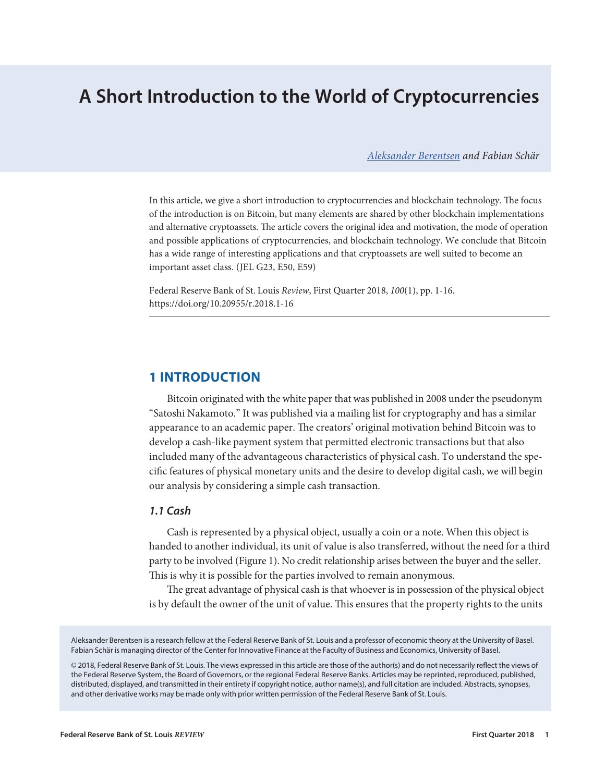# **A Short Introduction to the World of Cryptocurrencies**

*[Aleksander Berentsen](https://research.stlouisfed.org/econ/berentsen/sel/) and Fabian Schär*

In this article, we give a short introduction to cryptocurrencies and blockchain technology. The focus of the introduction is on Bitcoin, but many elements are shared by other blockchain implementations and alternative cryptoassets. The article covers the original idea and motivation, the mode of operation and possible applications of cryptocurrencies, and blockchain technology. We conclude that Bitcoin has a wide range of interesting applications and that cryptoassets are well suited to become an important asset class. (JEL G23, E50, E59)

Federal Reserve Bank of St. Louis *Review*, First Quarter 2018, *100*(1), pp. 1-16. https://doi.org/10.20955/r.2018.1-16

# **1 INTRODUCTION**

Bitcoin originated with the white paper that was published in 2008 under the pseudonym "Satoshi Nakamoto." It was published via a mailing list for cryptography and has a similar appearance to an academic paper. The creators' original motivation behind Bitcoin was to develop a cash-like payment system that permitted electronic transactions but that also included many of the advantageous characteristics of physical cash. To understand the specific features of physical monetary units and the desire to develop digital cash, we will begin our analysis by considering a simple cash transaction.

# *1.1 Cash*

Cash is represented by a physical object, usually a coin or a note. When this object is handed to another individual, its unit of value is also transferred, without the need for a third party to be involved (Figure 1). No credit relationship arises between the buyer and the seller. This is why it is possible for the parties involved to remain anonymous.

The great advantage of physical cash is that whoever is in possession of the physical object is by default the owner of the unit of value. This ensures that the property rights to the units

Aleksander Berentsen is a research fellow at the Federal Reserve Bank of St. Louis and a professor of economic theory at the University of Basel. Fabian Schär is managing director of the Center for Innovative Finance at the Faculty of Business and Economics, University of Basel.

© 2018, Federal Reserve Bank of St. Louis. The views expressed in this article are those of the author(s) and do not necessarily reflect the views of the Federal Reserve System, the Board of Governors, or the regional Federal Reserve Banks. Articles may be reprinted, reproduced, published, distributed, displayed, and transmitted in their entirety if copyright notice, author name(s), and full citation are included. Abstracts, synopses, and other derivative works may be made only with prior written permission of the Federal Reserve Bank of St. Louis.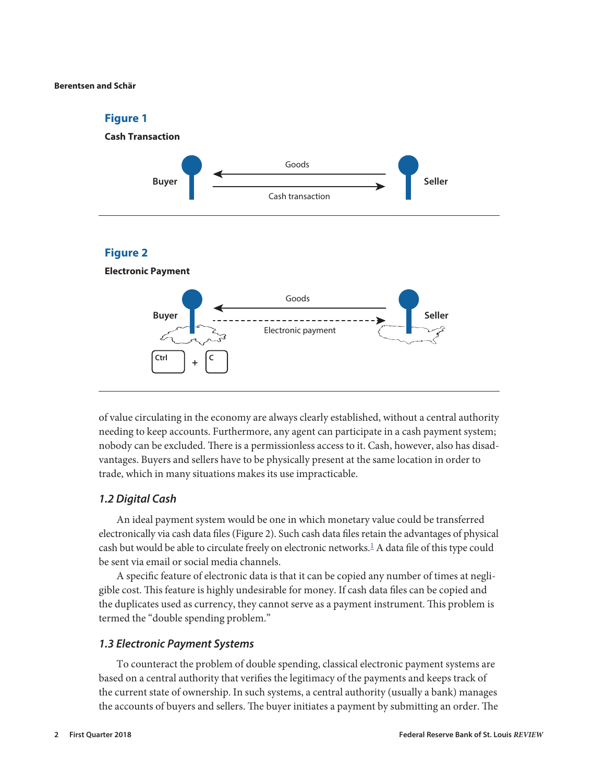<span id="page-1-0"></span>

of value circulating in the economy are always clearly established, without a central authority needing to keep accounts. Furthermore, any agent can participate in a cash payment system; nobody can be excluded. There is a permissionless access to it. Cash, however, also has disadvantages. Buyers and sellers have to be physically present at the same location in order to trade, which in many situations makes its use impracticable.

# *1.2 Digital Cash*

An ideal payment system would be one in which monetary value could be transferred electronically via cash data files (Figure 2). Such cash data files retain the advantages of physical cash but would be able to circulate freely on electronic networks.[1](#page-14-0) A data file of this type could be sent via email or social media channels.

A specific feature of electronic data is that it can be copied any number of times at negligible cost. This feature is highly undesirable for money. If cash data files can be copied and the duplicates used as currency, they cannot serve as a payment instrument. This problem is termed the "double spending problem."

### *1.3 Electronic Payment Systems*

To counteract the problem of double spending, classical electronic payment systems are based on a central authority that verifies the legitimacy of the payments and keeps track of the current state of ownership. In such systems, a central authority (usually a bank) manages the accounts of buyers and sellers. The buyer initiates a payment by submitting an order. The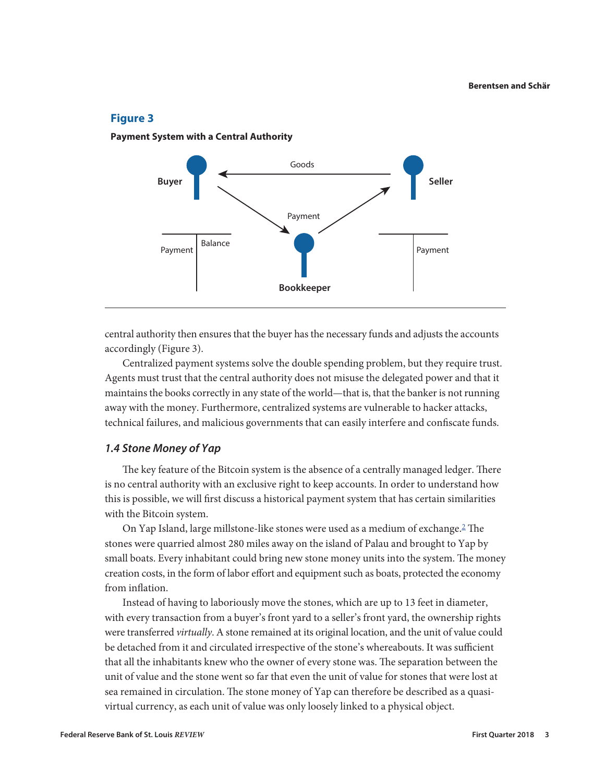### <span id="page-2-0"></span>**Figure 3**

#### **Payment System with a Central Authority**



central authority then ensures that the buyer has the necessary funds and adjusts the accounts accordingly (Figure 3).

Centralized payment systems solve the double spending problem, but they require trust. Agents must trust that the central authority does not misuse the delegated power and that it maintains the books correctly in any state of the world—that is, that the banker is not running away with the money. Furthermore, centralized systems are vulnerable to hacker attacks, technical failures, and malicious governments that can easily interfere and confiscate funds.

### *1.4 Stone Money of Yap*

The key feature of the Bitcoin system is the absence of a centrally managed ledger. There is no central authority with an exclusive right to keep accounts. In order to understand how this is possible, we will first discuss a historical payment system that has certain similarities with the Bitcoin system.

On Yap Island, large millstone-like stones were used as a medium of exchange.<sup>2</sup> The stones were quarried almost 280 miles away on the island of Palau and brought to Yap by small boats. Every inhabitant could bring new stone money units into the system. The money creation costs, in the form of labor effort and equipment such as boats, protected the economy from inflation.

Instead of having to laboriously move the stones, which are up to 13 feet in diameter, with every transaction from a buyer's front yard to a seller's front yard, the ownership rights were transferred *virtually*. A stone remained at its original location, and the unit of value could be detached from it and circulated irrespective of the stone's whereabouts. It was sufficient that all the inhabitants knew who the owner of every stone was. The separation between the unit of value and the stone went so far that even the unit of value for stones that were lost at sea remained in circulation. The stone money of Yap can therefore be described as a quasivirtual currency, as each unit of value was only loosely linked to a physical object.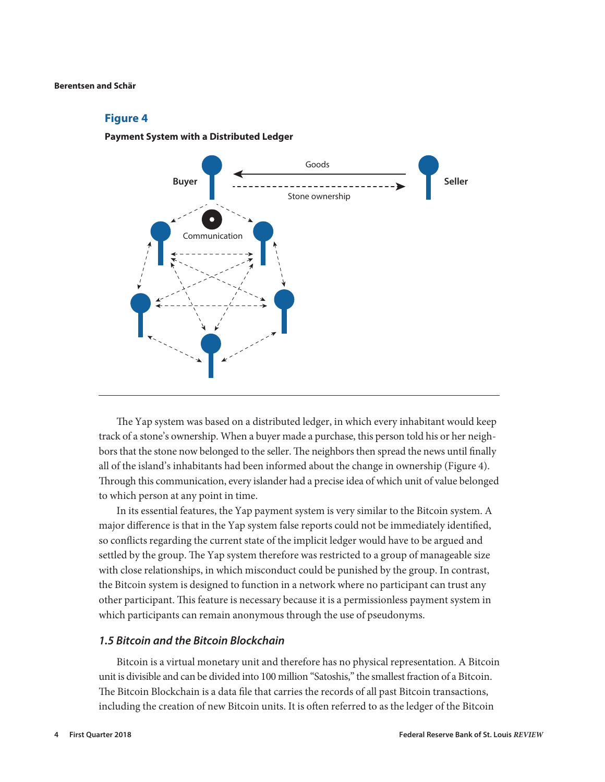### **Figure 4**

**Payment System with a Distributed Ledger**



The Yap system was based on a distributed ledger, in which every inhabitant would keep track of a stone's ownership. When a buyer made a purchase, this person told his or her neighbors that the stone now belonged to the seller. The neighbors then spread the news until finally all of the island's inhabitants had been informed about the change in ownership (Figure 4). Through this communication, every islander had a precise idea of which unit of value belonged to which person at any point in time.

In its essential features, the Yap payment system is very similar to the Bitcoin system. A major difference is that in the Yap system false reports could not be immediately identified, so conflicts regarding the current state of the implicit ledger would have to be argued and settled by the group. The Yap system therefore was restricted to a group of manageable size with close relationships, in which misconduct could be punished by the group. In contrast, the Bitcoin system is designed to function in a network where no participant can trust any other participant. This feature is necessary because it is a permissionless payment system in which participants can remain anonymous through the use of pseudonyms.

# *1.5 Bitcoin and the Bitcoin Blockchain*

Bitcoin is a virtual monetary unit and therefore has no physical representation. A Bitcoin unit is divisible and can be divided into 100 million "Satoshis," the smallest fraction of a Bitcoin. The Bitcoin Blockchain is a data file that carries the records of all past Bitcoin transactions, including the creation of new Bitcoin units. It is often referred to as the ledger of the Bitcoin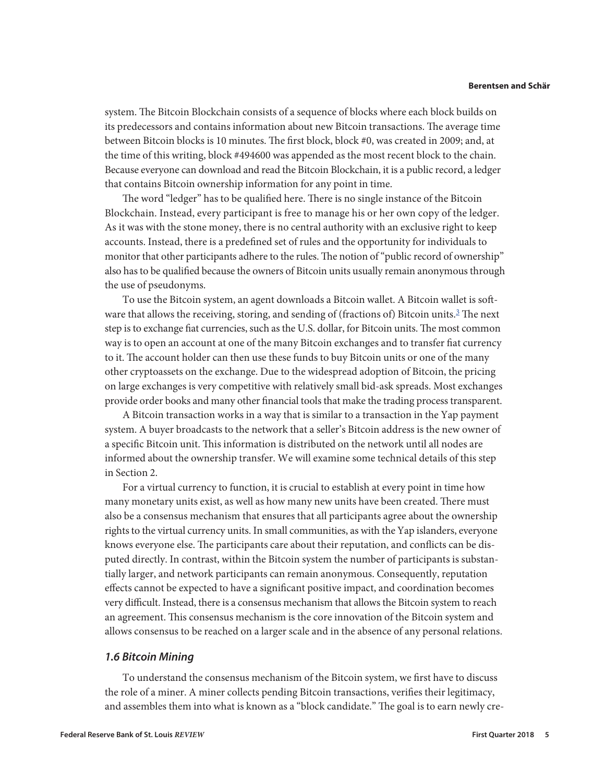<span id="page-4-0"></span>system. The Bitcoin Blockchain consists of a sequence of blocks where each block builds on its predecessors and contains information about new Bitcoin transactions. The average time between Bitcoin blocks is 10 minutes. The first block, block #0, was created in 2009; and, at the time of this writing, block #494600 was appended as the most recent block to the chain. Because everyone can download and read the Bitcoin Blockchain, it is a public record, a ledger that contains Bitcoin ownership information for any point in time.

The word "ledger" has to be qualified here. There is no single instance of the Bitcoin Blockchain. Instead, every participant is free to manage his or her own copy of the ledger. As it was with the stone money, there is no central authority with an exclusive right to keep accounts. Instead, there is a predefined set of rules and the opportunity for individuals to monitor that other participants adhere to the rules. The notion of "public record of ownership" also has to be qualified because the owners of Bitcoin units usually remain anonymous through the use of pseudonyms.

To use the Bitcoin system, an agent downloads a Bitcoin wallet. A Bitcoin wallet is soft-ware that allows the receiving, storing, and sending of (fractions of) Bitcoin units.<sup>[3](#page-14-0)</sup> The next step is to exchange fiat currencies, such as the U.S. dollar, for Bitcoin units. The most common way is to open an account at one of the many Bitcoin exchanges and to transfer fiat currency to it. The account holder can then use these funds to buy Bitcoin units or one of the many other cryptoassets on the exchange. Due to the widespread adoption of Bitcoin, the pricing on large exchanges is very competitive with relatively small bid-ask spreads. Most exchanges provide order books and many other financial tools that make the trading process transparent.

A Bitcoin transaction works in a way that is similar to a transaction in the Yap payment system. A buyer broadcasts to the network that a seller's Bitcoin address is the new owner of a specific Bitcoin unit. This information is distributed on the network until all nodes are informed about the ownership transfer. We will examine some technical details of this step in Section 2.

For a virtual currency to function, it is crucial to establish at every point in time how many monetary units exist, as well as how many new units have been created. There must also be a consensus mechanism that ensures that all participants agree about the ownership rights to the virtual currency units. In small communities, as with the Yap islanders, everyone knows everyone else. The participants care about their reputation, and conflicts can be disputed directly. In contrast, within the Bitcoin system the number of participants is substantially larger, and network participants can remain anonymous. Consequently, reputation effects cannot be expected to have a significant positive impact, and coordination becomes very difficult. Instead, there is a consensus mechanism that allows the Bitcoin system to reach an agreement. This consensus mechanism is the core innovation of the Bitcoin system and allows consensus to be reached on a larger scale and in the absence of any personal relations.

### *1.6 Bitcoin Mining*

To understand the consensus mechanism of the Bitcoin system, we first have to discuss the role of a miner. A miner collects pending Bitcoin transactions, verifies their legitimacy, and assembles them into what is known as a "block candidate." The goal is to earn newly cre-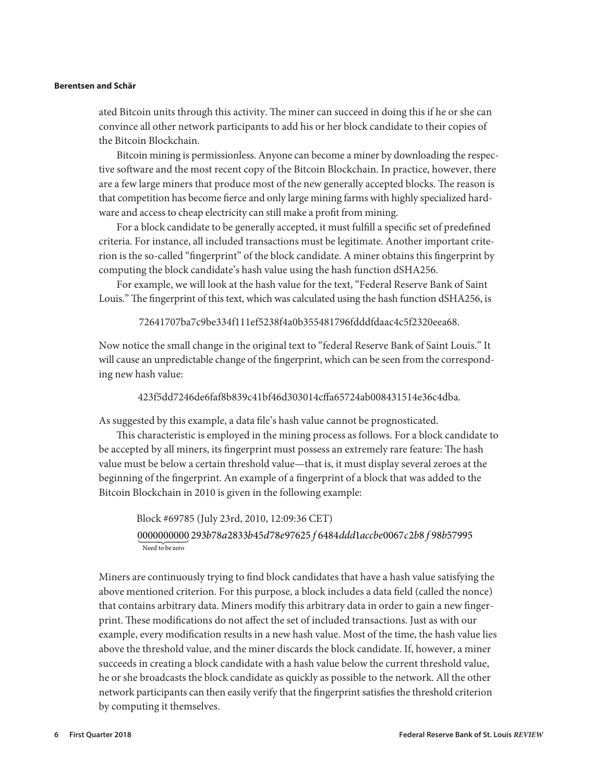ated Bitcoin units through this activity. The miner can succeed in doing this if he or she can convince all other network participants to add his or her block candidate to their copies of the Bitcoin Blockchain.

Bitcoin mining is permissionless. Anyone can become a miner by downloading the respective software and the most recent copy of the Bitcoin Blockchain. In practice, however, there are a few large miners that produce most of the new generally accepted blocks. The reason is that competition has become fierce and only large mining farms with highly specialized hardware and access to cheap electricity can still make a profit from mining.

For a block candidate to be generally accepted, it must fulfill a specific set of predefined criteria. For instance, all included transactions must be legitimate. Another important criterion is the so-called "fingerprint" of the block candidate. A miner obtains this fingerprint by computing the block candidate's hash value using the hash function dSHA256.

For example, we will look at the hash value for the text, "Federal Reserve Bank of Saint Louis." The fingerprint of this text, which was calculated using the hash function dSHA256, is

72641707ba7c9be334f111ef5238f4a0b355481796fdddfdaac4c5f2320eea68.

Now notice the small change in the original text to "federal Reserve Bank of Saint Louis." It will cause an unpredictable change of the fingerprint, which can be seen from the corresponding new hash value:

423f5dd7246de6faf8b839c41bf46d303014cffa65724ab008431514e36c4dba.

As suggested by this example, a data file's hash value cannot be prognosticated.

This characteristic is employed in the mining process as follows. For a block candidate to be accepted by all miners, its fingerprint must possess an extremely rare feature: The hash value must be below a certain threshold value—that is, it must display several zeroes at the beginning of the fingerprint. An example of a fingerprint of a block that was added to the Bitcoin Blockchain in 2010 is given in the following example:

 Block #69785 (July 23rd, 2010, 12:09:36 CET) 0000000000 14243 293*b*78*a*2833*b*45*d*78*e*97625 *f* 6484*ddd*1*accbe*0067*c*2*b*8 *f* 98*b*57995 Need to be zero

Miners are continuously trying to find block candidates that have a hash value satisfying the above mentioned criterion. For this purpose, a block includes a data field (called the nonce) that contains arbitrary data. Miners modify this arbitrary data in order to gain a new fingerprint. These modifications do not affect the set of included transactions. Just as with our example, every modification results in a new hash value. Most of the time, the hash value lies above the threshold value, and the miner discards the block candidate. If, however, a miner succeeds in creating a block candidate with a hash value below the current threshold value, he or she broadcasts the block candidate as quickly as possible to the network. All the other network participants can then easily verify that the fingerprint satisfies the threshold criterion by computing it themselves.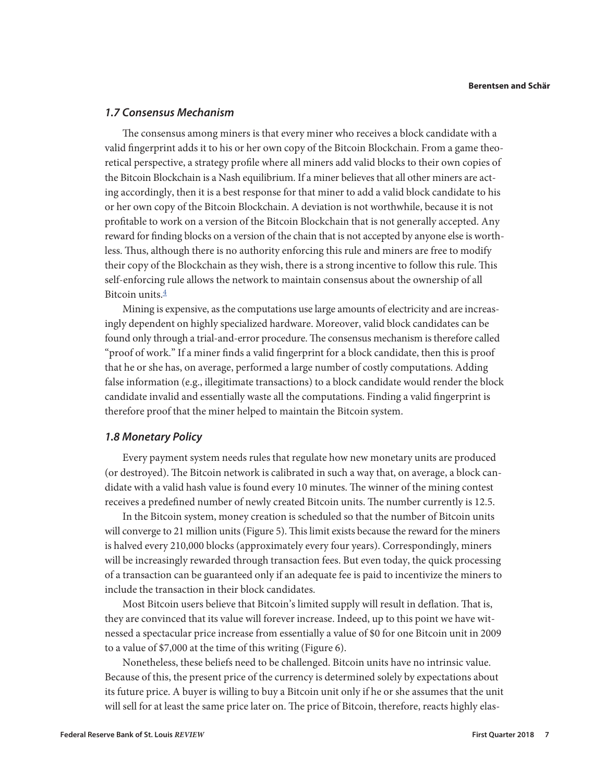### <span id="page-6-0"></span>*1.7 Consensus Mechanism*

The consensus among miners is that every miner who receives a block candidate with a valid fingerprint adds it to his or her own copy of the Bitcoin Blockchain. From a game theoretical perspective, a strategy profile where all miners add valid blocks to their own copies of the Bitcoin Blockchain is a Nash equilibrium. If a miner believes that all other miners are acting accordingly, then it is a best response for that miner to add a valid block candidate to his or her own copy of the Bitcoin Blockchain. A deviation is not worthwhile, because it is not profitable to work on a version of the Bitcoin Blockchain that is not generally accepted. Any reward for finding blocks on a version of the chain that is not accepted by anyone else is worthless. Thus, although there is no authority enforcing this rule and miners are free to modify their copy of the Blockchain as they wish, there is a strong incentive to follow this rule. This self-enforcing rule allows the network to maintain consensus about the ownership of all Bitcoin units.[4](#page-14-0)

Mining is expensive, as the computations use large amounts of electricity and are increasingly dependent on highly specialized hardware. Moreover, valid block candidates can be found only through a trial-and-error procedure. The consensus mechanism is therefore called "proof of work." If a miner finds a valid fingerprint for a block candidate, then this is proof that he or she has, on average, performed a large number of costly computations. Adding false information (e.g., illegitimate transactions) to a block candidate would render the block candidate invalid and essentially waste all the computations. Finding a valid fingerprint is therefore proof that the miner helped to maintain the Bitcoin system.

# *1.8 Monetary Policy*

Every payment system needs rules that regulate how new monetary units are produced (or destroyed). The Bitcoin network is calibrated in such a way that, on average, a block candidate with a valid hash value is found every 10 minutes. The winner of the mining contest receives a predefined number of newly created Bitcoin units. The number currently is 12.5.

In the Bitcoin system, money creation is scheduled so that the number of Bitcoin units will converge to 21 million units (Figure 5). This limit exists because the reward for the miners is halved every 210,000 blocks (approximately every four years). Correspondingly, miners will be increasingly rewarded through transaction fees. But even today, the quick processing of a transaction can be guaranteed only if an adequate fee is paid to incentivize the miners to include the transaction in their block candidates.

Most Bitcoin users believe that Bitcoin's limited supply will result in deflation. That is, they are convinced that its value will forever increase. Indeed, up to this point we have witnessed a spectacular price increase from essentially a value of \$0 for one Bitcoin unit in 2009 to a value of \$7,000 at the time of this writing (Figure 6).

Nonetheless, these beliefs need to be challenged. Bitcoin units have no intrinsic value. Because of this, the present price of the currency is determined solely by expectations about its future price. A buyer is willing to buy a Bitcoin unit only if he or she assumes that the unit will sell for at least the same price later on. The price of Bitcoin, therefore, reacts highly elas-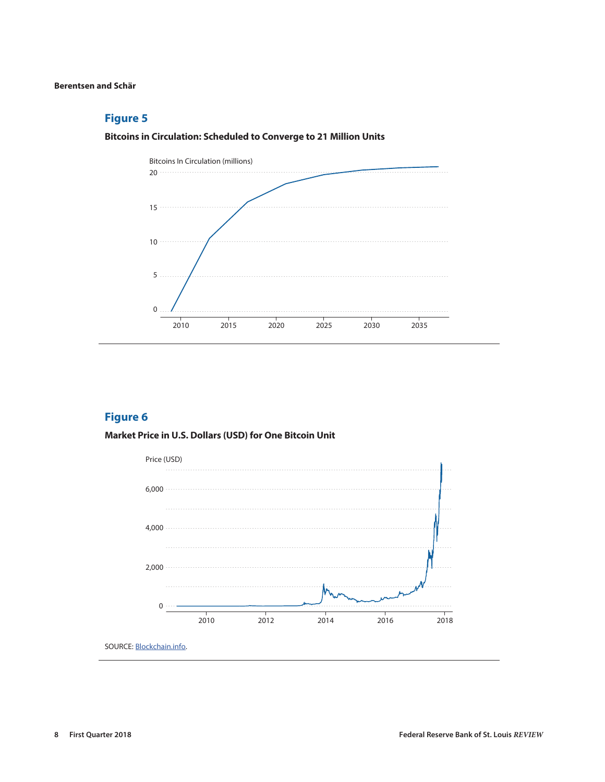# **Figure 5**





# **Figure 6**

### **Market Price in U.S. Dollars (USD) for One Bitcoin Unit**

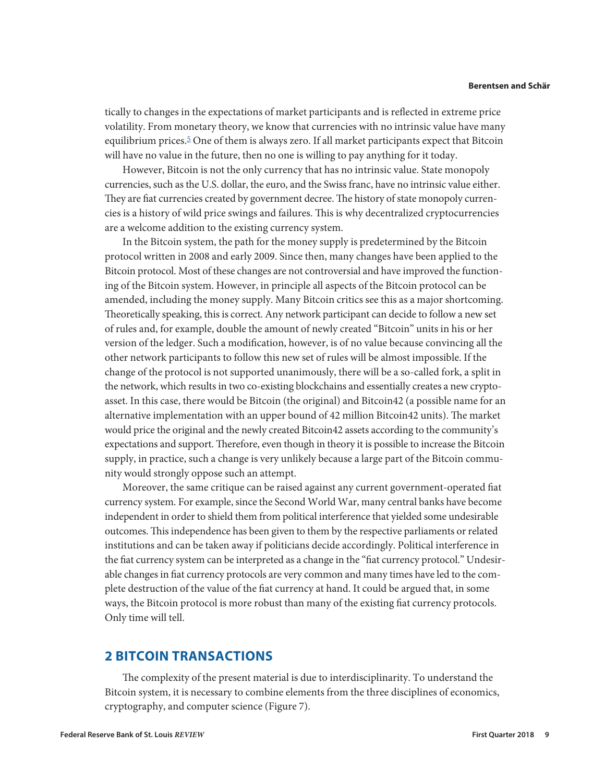<span id="page-8-0"></span>tically to changes in the expectations of market participants and is reflected in extreme price volatility. From monetary theory, we know that currencies with no intrinsic value have many equilibrium prices. $5$  One of them is always zero. If all market participants expect that Bitcoin will have no value in the future, then no one is willing to pay anything for it today.

However, Bitcoin is not the only currency that has no intrinsic value. State monopoly currencies, such as the U.S. dollar, the euro, and the Swiss franc, have no intrinsic value either. They are fiat currencies created by government decree. The history of state monopoly currencies is a history of wild price swings and failures. This is why decentralized cryptocurrencies are a welcome addition to the existing currency system.

In the Bitcoin system, the path for the money supply is predetermined by the Bitcoin protocol written in 2008 and early 2009. Since then, many changes have been applied to the Bitcoin protocol. Most of these changes are not controversial and have improved the functioning of the Bitcoin system. However, in principle all aspects of the Bitcoin protocol can be amended, including the money supply. Many Bitcoin critics see this as a major shortcoming. Theoretically speaking, this is correct. Any network participant can decide to follow a new set of rules and, for example, double the amount of newly created "Bitcoin" units in his or her version of the ledger. Such a modification, however, is of no value because convincing all the other network participants to follow this new set of rules will be almost impossible. If the change of the protocol is not supported unanimously, there will be a so-called fork, a split in the network, which results in two co-existing blockchains and essentially creates a new cryptoasset. In this case, there would be Bitcoin (the original) and Bitcoin42 (a possible name for an alternative implementation with an upper bound of 42 million Bitcoin42 units). The market would price the original and the newly created Bitcoin42 assets according to the community's expectations and support. Therefore, even though in theory it is possible to increase the Bitcoin supply, in practice, such a change is very unlikely because a large part of the Bitcoin community would strongly oppose such an attempt.

Moreover, the same critique can be raised against any current government-operated fiat currency system. For example, since the Second World War, many central banks have become independent in order to shield them from political interference that yielded some undesirable outcomes. This independence has been given to them by the respective parliaments or related institutions and can be taken away if politicians decide accordingly. Political interference in the fiat currency system can be interpreted as a change in the "fiat currency protocol." Undesirable changes in fiat currency protocols are very common and many times have led to the complete destruction of the value of the fiat currency at hand. It could be argued that, in some ways, the Bitcoin protocol is more robust than many of the existing fiat currency protocols. Only time will tell.

# **2 BITCOIN TRANSACTIONS**

The complexity of the present material is due to interdisciplinarity. To understand the Bitcoin system, it is necessary to combine elements from the three disciplines of economics, cryptography, and computer science (Figure 7).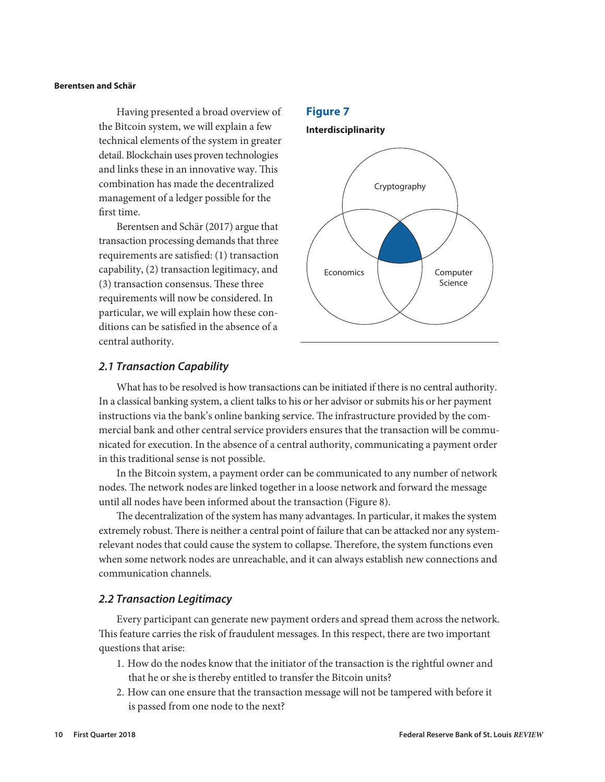Having presented a broad overview of the Bitcoin system, we will explain a few technical elements of the system in greater detail. Blockchain uses proven technologies and links these in an innovative way. This combination has made the decentralized management of a ledger possible for the first time.

Berentsen and Schär (2017) argue that transaction processing demands that three requirements are satisfied: (1) transaction capability, (2) transaction legitimacy, and (3) transaction consensus. These three requirements will now be considered. In particular, we will explain how these conditions can be satisfied in the absence of a central authority.

#### **Figure 7**

#### **Interdisciplinarity**



# *2.1 Transaction Capability*

What has to be resolved is how transactions can be initiated if there is no central authority. In a classical banking system, a client talks to his or her advisor or submits his or her payment instructions via the bank's online banking service. The infrastructure provided by the commercial bank and other central service providers ensures that the transaction will be communicated for execution. In the absence of a central authority, communicating a payment order in this traditional sense is not possible.

In the Bitcoin system, a payment order can be communicated to any number of network nodes. The network nodes are linked together in a loose network and forward the message until all nodes have been informed about the transaction (Figure 8).

The decentralization of the system has many advantages. In particular, it makes the system extremely robust. There is neither a central point of failure that can be attacked nor any systemrelevant nodes that could cause the system to collapse. Therefore, the system functions even when some network nodes are unreachable, and it can always establish new connections and communication channels.

#### *2.2 Transaction Legitimacy*

Every participant can generate new payment orders and spread them across the network. This feature carries the risk of fraudulent messages. In this respect, there are two important questions that arise:

- 1. How do the nodes know that the initiator of the transaction is the rightful owner and that he or she is thereby entitled to transfer the Bitcoin units?
- 2. How can one ensure that the transaction message will not be tampered with before it is passed from one node to the next?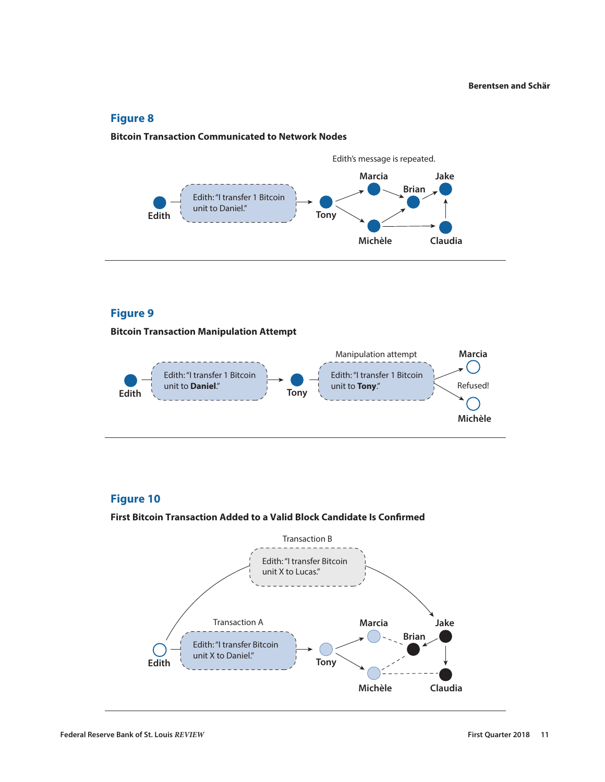# **Figure 8**

### **Bitcoin Transaction Communicated to Network Nodes**



# **Figure 9**

**Bitcoin Transaction Manipulation Attempt**



# **Figure 10**

### **First Bitcoin Transaction Added to a Valid Block Candidate Is Confirmed**

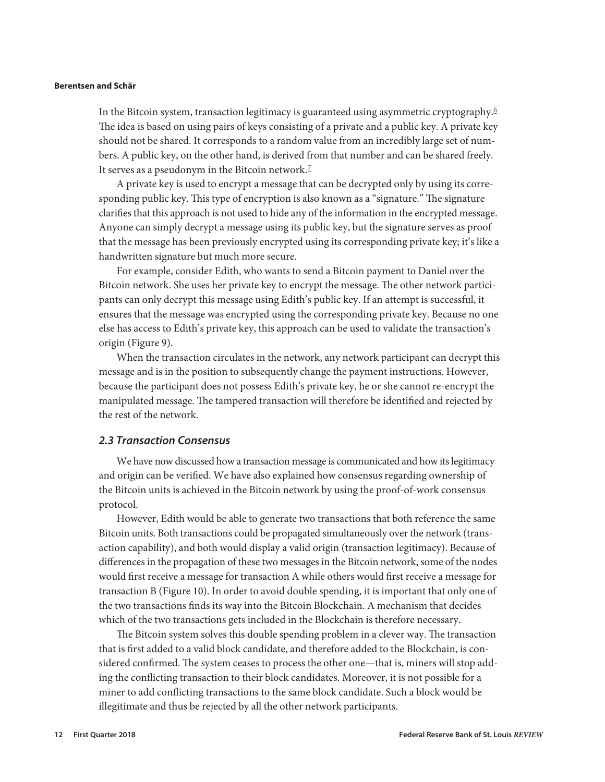<span id="page-11-0"></span>In the Bitcoin system, transaction legitimacy is guaranteed using asymmetric cryptography.<sup>[6](#page-14-0)</sup> The idea is based on using pairs of keys consisting of a private and a public key. A private key should not be shared. It corresponds to a random value from an incredibly large set of numbers. A public key, on the other hand, is derived from that number and can be shared freely. It serves as a pseudonym in the Bitcoin network.<sup>2</sup>

A private key is used to encrypt a message that can be decrypted only by using its corresponding public key. This type of encryption is also known as a "signature." The signature clarifies that this approach is not used to hide any of the information in the encrypted message. Anyone can simply decrypt a message using its public key, but the signature serves as proof that the message has been previously encrypted using its corresponding private key; it's like a handwritten signature but much more secure.

For example, consider Edith, who wants to send a Bitcoin payment to Daniel over the Bitcoin network. She uses her private key to encrypt the message. The other network participants can only decrypt this message using Edith's public key. If an attempt is successful, it ensures that the message was encrypted using the corresponding private key. Because no one else has access to Edith's private key, this approach can be used to validate the transaction's origin (Figure 9).

When the transaction circulates in the network, any network participant can decrypt this message and is in the position to subsequently change the payment instructions. However, because the participant does not possess Edith's private key, he or she cannot re-encrypt the manipulated message. The tampered transaction will therefore be identified and rejected by the rest of the network.

# *2.3 Transaction Consensus*

We have now discussed how a transaction message is communicated and how its legitimacy and origin can be verified. We have also explained how consensus regarding ownership of the Bitcoin units is achieved in the Bitcoin network by using the proof-of-work consensus protocol.

However, Edith would be able to generate two transactions that both reference the same Bitcoin units. Both transactions could be propagated simultaneously over the network (transaction capability), and both would display a valid origin (transaction legitimacy). Because of differences in the propagation of these two messages in the Bitcoin network, some of the nodes would first receive a message for transaction A while others would first receive a message for transaction B (Figure 10). In order to avoid double spending, it is important that only one of the two transactions finds its way into the Bitcoin Blockchain. A mechanism that decides which of the two transactions gets included in the Blockchain is therefore necessary.

The Bitcoin system solves this double spending problem in a clever way. The transaction that is first added to a valid block candidate, and therefore added to the Blockchain, is considered confirmed. The system ceases to process the other one—that is, miners will stop adding the conflicting transaction to their block candidates. Moreover, it is not possible for a miner to add conflicting transactions to the same block candidate. Such a block would be illegitimate and thus be rejected by all the other network participants.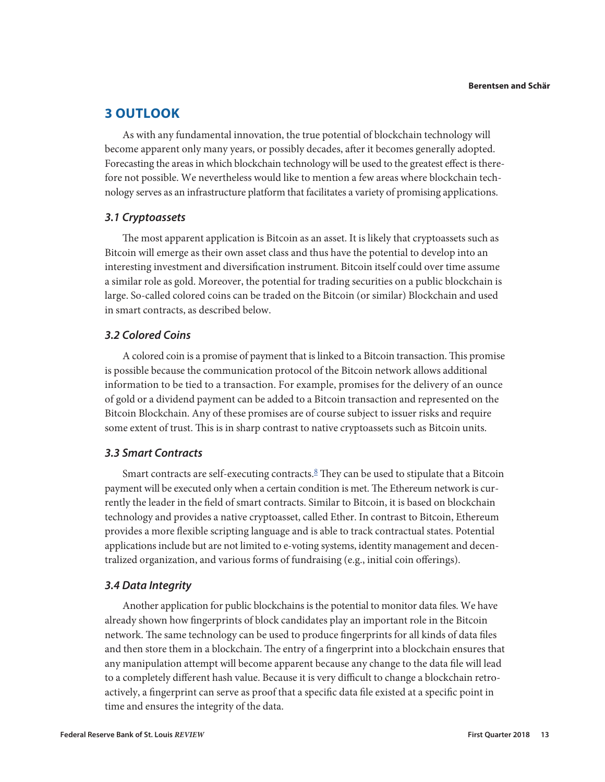# <span id="page-12-0"></span>**3 OUTLOOK**

As with any fundamental innovation, the true potential of blockchain technology will become apparent only many years, or possibly decades, after it becomes generally adopted. Forecasting the areas in which blockchain technology will be used to the greatest effect is therefore not possible. We nevertheless would like to mention a few areas where blockchain technology serves as an infrastructure platform that facilitates a variety of promising applications.

# *3.1 Cryptoassets*

The most apparent application is Bitcoin as an asset. It is likely that cryptoassets such as Bitcoin will emerge as their own asset class and thus have the potential to develop into an interesting investment and diversification instrument. Bitcoin itself could over time assume a similar role as gold. Moreover, the potential for trading securities on a public blockchain is large. So-called colored coins can be traded on the Bitcoin (or similar) Blockchain and used in smart contracts, as described below.

# *3.2 Colored Coins*

A colored coin is a promise of payment that is linked to a Bitcoin transaction. This promise is possible because the communication protocol of the Bitcoin network allows additional information to be tied to a transaction. For example, promises for the delivery of an ounce of gold or a dividend payment can be added to a Bitcoin transaction and represented on the Bitcoin Blockchain. Any of these promises are of course subject to issuer risks and require some extent of trust. This is in sharp contrast to native cryptoassets such as Bitcoin units.

# *3.3 Smart Contracts*

Smart contracts are self-executing contracts. $8 \text{ They can be used to stipulate that a Bitcoin}$  $8 \text{ They can be used to stipulate that a Bitcoin}$ payment will be executed only when a certain condition is met. The Ethereum network is currently the leader in the field of smart contracts. Similar to Bitcoin, it is based on blockchain technology and provides a native cryptoasset, called Ether. In contrast to Bitcoin, Ethereum provides a more flexible scripting language and is able to track contractual states. Potential applications include but are not limited to e-voting systems, identity management and decentralized organization, and various forms of fundraising (e.g., initial coin offerings).

### *3.4 Data Integrity*

Another application for public blockchains is the potential to monitor data files. We have already shown how fingerprints of block candidates play an important role in the Bitcoin network. The same technology can be used to produce fingerprints for all kinds of data files and then store them in a blockchain. The entry of a fingerprint into a blockchain ensures that any manipulation attempt will become apparent because any change to the data file will lead to a completely different hash value. Because it is very difficult to change a blockchain retroactively, a fingerprint can serve as proof that a specific data file existed at a specific point in time and ensures the integrity of the data.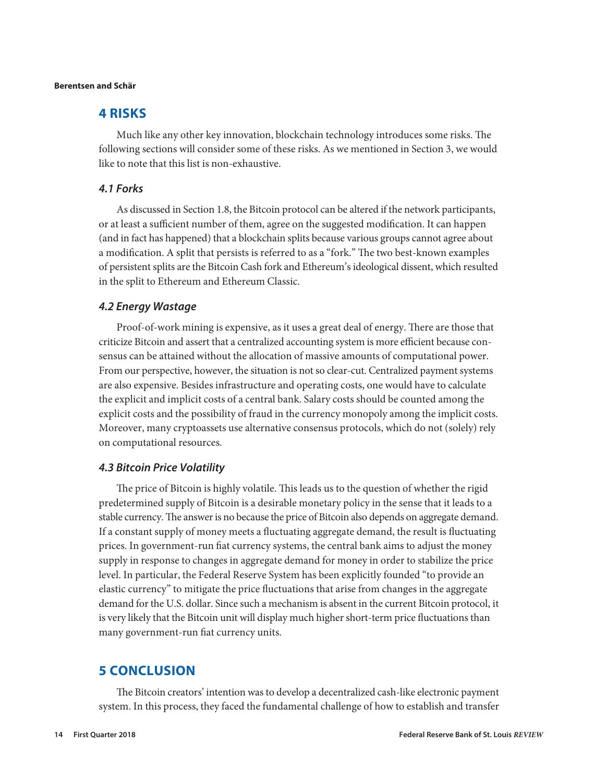# **4 RISKS**

Much like any other key innovation, blockchain technology introduces some risks. The following sections will consider some of these risks. As we mentioned in Section 3, we would like to note that this list is non-exhaustive.

### *4.1 Forks*

As discussed in Section 1.8, the Bitcoin protocol can be altered if the network participants, or at least a sufficient number of them, agree on the suggested modification. It can happen (and in fact has happened) that a blockchain splits because various groups cannot agree about a modification. A split that persists is referred to as a "fork." The two best-known examples of persistent splits are the Bitcoin Cash fork and Ethereum's ideological dissent, which resulted in the split to Ethereum and Ethereum Classic.

### *4.2 Energy Wastage*

Proof-of-work mining is expensive, as it uses a great deal of energy. There are those that criticize Bitcoin and assert that a centralized accounting system is more efficient because consensus can be attained without the allocation of massive amounts of computational power. From our perspective, however, the situation is not so clear-cut. Centralized payment systems are also expensive. Besides infrastructure and operating costs, one would have to calculate the explicit and implicit costs of a central bank. Salary costs should be counted among the explicit costs and the possibility of fraud in the currency monopoly among the implicit costs. Moreover, many cryptoassets use alternative consensus protocols, which do not (solely) rely on computational resources.

# *4.3 Bitcoin Price Volatility*

The price of Bitcoin is highly volatile. This leads us to the question of whether the rigid predetermined supply of Bitcoin is a desirable monetary policy in the sense that it leads to a stable currency. The answer is no because the price of Bitcoin also depends on aggregate demand. If a constant supply of money meets a fluctuating aggregate demand, the result is fluctuating prices. In government-run fiat currency systems, the central bank aims to adjust the money supply in response to changes in aggregate demand for money in order to stabilize the price level. In particular, the Federal Reserve System has been explicitly founded "to provide an elastic currency" to mitigate the price fluctuations that arise from changes in the aggregate demand for the U.S. dollar. Since such a mechanism is absent in the current Bitcoin protocol, it is very likely that the Bitcoin unit will display much higher short-term price fluctuations than many government-run fiat currency units.

# **5 CONCLUSION**

The Bitcoin creators' intention was to develop a decentralized cash-like electronic payment system. In this process, they faced the fundamental challenge of how to establish and transfer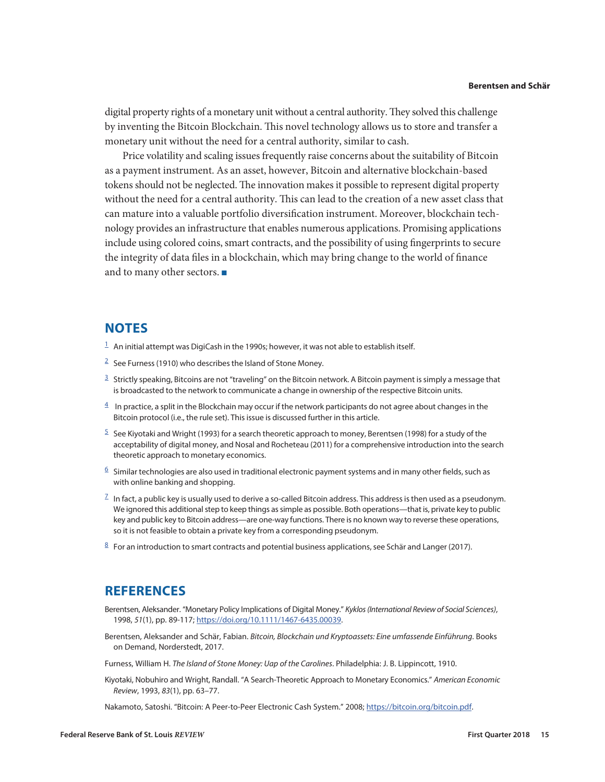<span id="page-14-0"></span>digital property rights of a monetary unit without a central authority. They solved this challenge by inventing the Bitcoin Blockchain. This novel technology allows us to store and transfer a monetary unit without the need for a central authority, similar to cash.

Price volatility and scaling issues frequently raise concerns about the suitability of Bitcoin as a payment instrument. As an asset, however, Bitcoin and alternative blockchain-based tokens should not be neglected. The innovation makes it possible to represent digital property without the need for a central authority. This can lead to the creation of a new asset class that can mature into a valuable portfolio diversification instrument. Moreover, blockchain technology provides an infrastructure that enables numerous applications. Promising applications include using colored coins, smart contracts, and the possibility of using fingerprints to secure the integrity of data files in a blockchain, which may bring change to the world of finance and to many other sectors.  $\blacksquare$ 

# **NOTES**

- $1$  An initial attempt was DigiCash in the 1990s; however, it was not able to establish itself.
- <sup>[2](#page-2-0)</sup> See Furness (1910) who describes the Island of Stone Money.
- $3$  Strictly speaking, Bitcoins are not "traveling" on the Bitcoin network. A Bitcoin payment is simply a message that is broadcasted to the network to communicate a change in ownership of the respective Bitcoin units.
- $\frac{4}{3}$  $\frac{4}{3}$  $\frac{4}{3}$  In practice, a split in the Blockchain may occur if the network participants do not agree about changes in the Bitcoin protocol (i.e., the rule set). This issue is discussed further in this article.
- $5$  See Kiyotaki and Wright (1993) for a search theoretic approach to money, Berentsen (1998) for a study of the acceptability of digital money, and Nosal and Rocheteau (2011) for a comprehensive introduction into the search theoretic approach to monetary economics.
- $6$  Similar technologies are also used in traditional electronic payment systems and in many other fields, such as with online banking and shopping.
- $^{\mathbb{Z}}$  In fact, a public key is usually used to derive a so-called Bitcoin address. This address is then used as a pseudonym. We ignored this additional step to keep things as simple as possible. Both operations—that is, private key to public key and public key to Bitcoin address—are one-way functions. There is no known way to reverse these operations, so it is not feasible to obtain a private key from a corresponding pseudonym.
- $8\overline{8}$  $8\overline{8}$  For an introduction to smart contracts and potential business applications, see Schär and Langer (2017).

# **REFERENCES**

- Berentsen, Aleksander. "Monetary Policy Implications of Digital Money." *Kyklos (International Review of Social Sciences)*, 1998, *51*(1), pp. 89-117; <https://doi.org/10.1111/1467-6435.00039>.
- Berentsen, Aleksander and Schär, Fabian. *Bitcoin, Blockchain und Kryptoassets: Eine umfassende Einführung*. Books on Demand, Norderstedt, 2017.

Furness, William H. *The Island of Stone Money: Uap of the Carolines*. Philadelphia: J. B. Lippincott, 1910.

Kiyotaki, Nobuhiro and Wright, Randall. "A Search-Theoretic Approach to Monetary Economics." *American Economic Review*, 1993, *83*(1), pp. 63–77.

Nakamoto, Satoshi. "Bitcoin: A Peer-to-Peer Electronic Cash System." 2008; <https://bitcoin.org/bitcoin.pdf>.